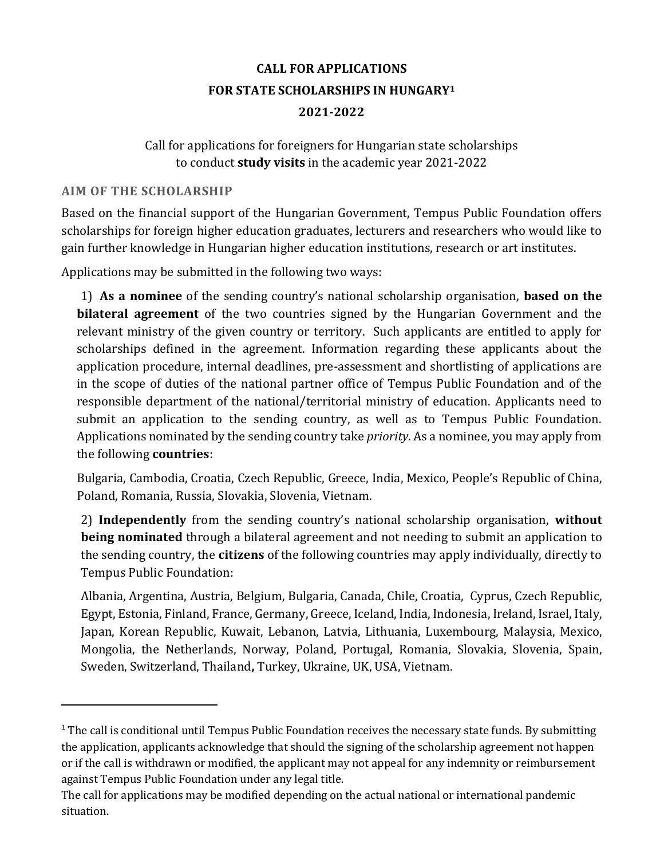# **CALL FOR APPLICATIONS FOR STATE SCHOLARSHIPS IN HUNGARY<sup>1</sup> 2021-2022**

# Call for applications for foreigners for Hungarian state scholarships to conduct **study visits** in the academic year 2021-2022

### **AIM OF THE SCHOLARSHIP**

 $\overline{a}$ 

Based on the financial support of the Hungarian Government, Tempus Public Foundation offers scholarships for foreign higher education graduates, lecturers and researchers who would like to gain further knowledge in Hungarian higher education institutions, research or art institutes.

Applications may be submitted in the following two ways:

1) **As a nominee** of the sending country's national scholarship organisation, **based on the bilateral agreement** of the two countries signed by the Hungarian Government and the relevant ministry of the given country or territory. Such applicants are entitled to apply for scholarships defined in the agreement. Information regarding these applicants about the application procedure, internal deadlines, pre-assessment and shortlisting of applications are in the scope of duties of the national partner office of Tempus Public Foundation and of the responsible department of the national/territorial ministry of education. Applicants need to submit an application to the sending country, as well as to Tempus Public Foundation. Applications nominated by the sending country take *priority*. As a nominee, you may apply from the following **countries**:

Bulgaria, Cambodia, Croatia, Czech Republic, Greece, India, Mexico, People's Republic of China, Poland, Romania, Russia, Slovakia, Slovenia, Vietnam.

2) **Independently** from the sending country's national scholarship organisation, **without being nominated** through a bilateral agreement and not needing to submit an application to the sending country, the **citizens** of the following countries may apply individually, directly to Tempus Public Foundation:

Albania, Argentina, Austria, Belgium, Bulgaria, Canada, Chile, Croatia, Cyprus, Czech Republic, Egypt, Estonia, Finland, France, Germany, Greece, Iceland, India, Indonesia, Ireland, Israel, Italy, Japan, Korean Republic, Kuwait, Lebanon, Latvia, Lithuania, Luxembourg, Malaysia, Mexico, Mongolia, the Netherlands, Norway, Poland, Portugal, Romania, Slovakia, Slovenia, Spain, Sweden, Switzerland, Thailand**,** Turkey, Ukraine, UK, USA, Vietnam.

 $1$  The call is conditional until Tempus Public Foundation receives the necessary state funds. By submitting the application, applicants acknowledge that should the signing of the scholarship agreement not happen or if the call is withdrawn or modified, the applicant may not appeal for any indemnity or reimbursement against Tempus Public Foundation under any legal title.

The call for applications may be modified depending on the actual national or international pandemic situation.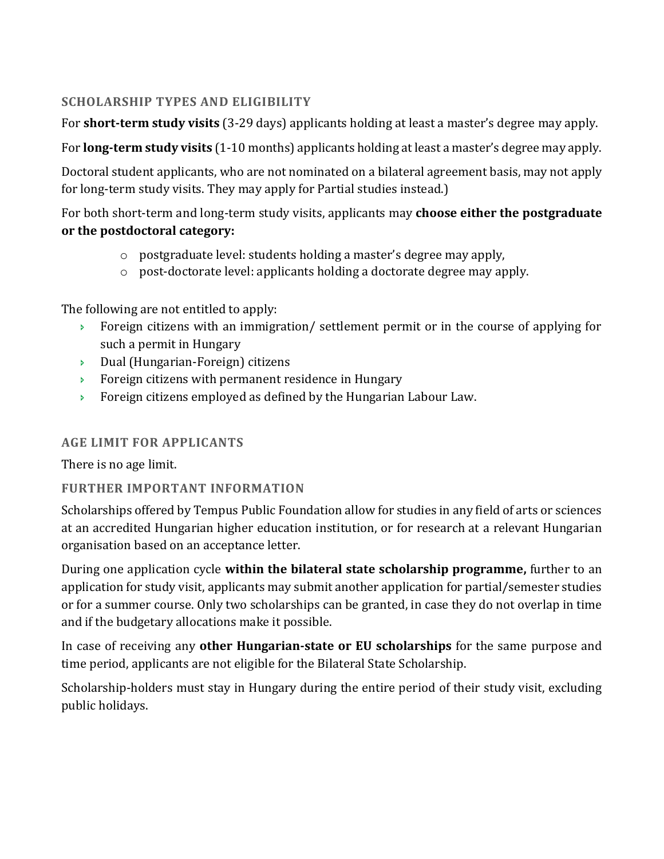# **SCHOLARSHIP TYPES AND ELIGIBILITY**

For **short-term study visits** (3-29 days) applicants holding at least a master's degree may apply.

For **long-term study visits** (1-10 months) applicants holding at least a master's degree may apply.

Doctoral student applicants, who are not nominated on a bilateral agreement basis, may not apply for long-term study visits. They may apply for Partial studies instead.)

For both short-term and long-term study visits, applicants may **choose either the postgraduate or the postdoctoral category:**

- o postgraduate level: students holding a master's degree may apply,
- $\circ$  post-doctorate level: applicants holding a doctorate degree may apply.

The following are not entitled to apply:

- **Foreign citizens with an immigration/ settlement permit or in the course of applying for** such a permit in Hungary
- Dual (Hungarian-Foreign) citizens
- **Foreign citizens with permanent residence in Hungary**
- **Foreign citizens employed as defined by the Hungarian Labour Law.**

# **AGE LIMIT FOR APPLICANTS**

There is no age limit.

# **FURTHER IMPORTANT INFORMATION**

Scholarships offered by Tempus Public Foundation allow for studies in any field of arts or sciences at an accredited Hungarian higher education institution, or for research at a relevant Hungarian organisation based on an acceptance letter.

During one application cycle **within the bilateral state scholarship programme,** further to an application for study visit, applicants may submit another application for partial/semester studies or for a summer course. Only two scholarships can be granted, in case they do not overlap in time and if the budgetary allocations make it possible.

In case of receiving any **other Hungarian-state or EU scholarships** for the same purpose and time period, applicants are not eligible for the Bilateral State Scholarship.

Scholarship-holders must stay in Hungary during the entire period of their study visit, excluding public holidays.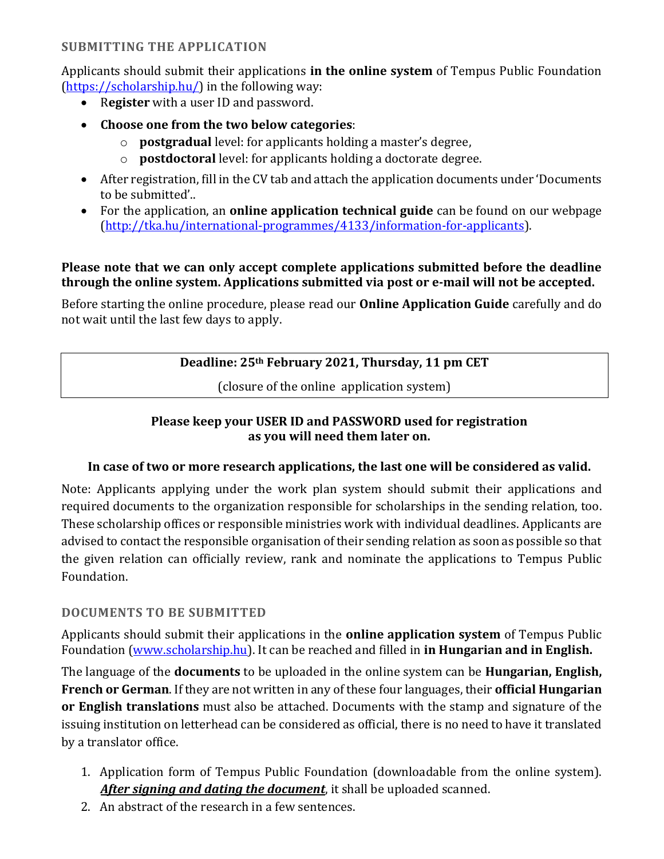# **SUBMITTING THE APPLICATION**

Applicants should submit their applications **in the online system** of Tempus Public Foundation [\(https://scholarship.hu/\)](https://scholarship.hu/) in the following way:

- R**egister** with a user ID and password.
- **Choose one from the two below categories**:
	- o **postgradual** level: for applicants holding a master's degree,
	- o **postdoctoral** level: for applicants holding a doctorate degree.
- After registration, fill in the CV tab and attach the application documents under 'Documents to be submitted'..
- For the application, an **online application technical guide** can be found on our webpage [\(http://tka.hu/international-programmes/4133/information-for-applicants\)](http://tka.hu/international-programmes/4133/information-for-applicants).

# **Please note that we can only accept complete applications submitted before the deadline through the online system. Applications submitted via post or e-mail will not be accepted.**

Before starting the online procedure, please read our **Online Application Guide** carefully and do not wait until the last few days to apply.

# **Deadline: 25th February 2021, Thursday, 11 pm CET**

(closure of the online application system)

# **Please keep your USER ID and PASSWORD used for registration as you will need them later on.**

# **In case of two or more research applications, the last one will be considered as valid.**

Note: Applicants applying under the work plan system should submit their applications and required documents to the organization responsible for scholarships in the sending relation, too. These scholarship offices or responsible ministries work with individual deadlines. Applicants are advised to contact the responsible organisation of their sending relation as soon as possible so that the given relation can officially review, rank and nominate the applications to Tempus Public Foundation.

#### **DOCUMENTS TO BE SUBMITTED**

Applicants should submit their applications in the **online application system** of Tempus Public Foundation [\(www.scholarship.hu\)](http://www.scholarship.hu/). It can be reached and filled in **in Hungarian and in English.**

The language of the **documents** to be uploaded in the online system can be **Hungarian, English, French or German**. If they are not written in any of these four languages, their **official Hungarian or English translations** must also be attached. Documents with the stamp and signature of the issuing institution on letterhead can be considered as official, there is no need to have it translated by a translator office.

- 1. Application form of Tempus Public Foundation (downloadable from the online system). *After signing and dating the document*, it shall be uploaded scanned.
- 2. An abstract of the research in a few sentences.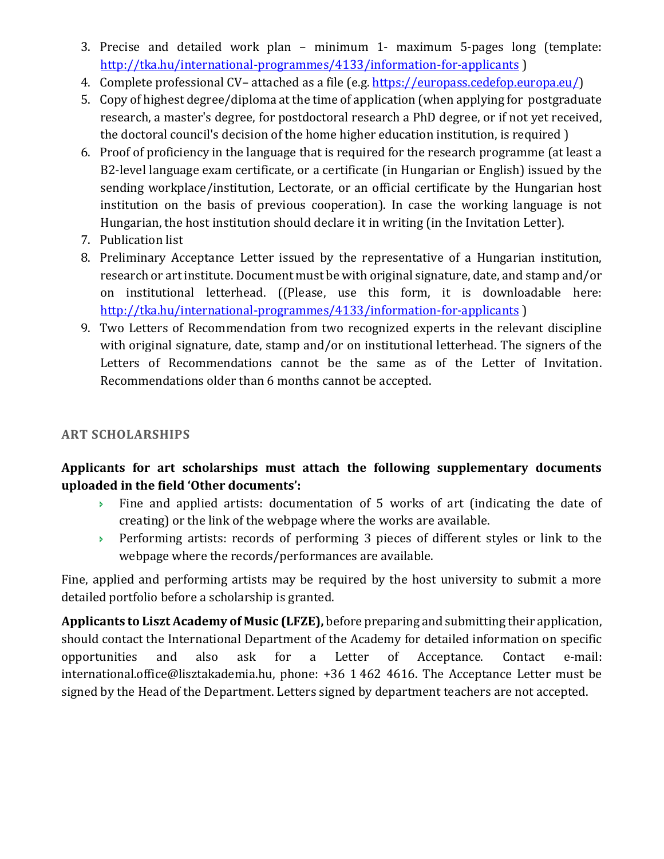- 3. Precise and detailed work plan minimum 1- maximum 5-pages long (template: <http://tka.hu/international-programmes/4133/information-for-applicants> )
- 4. Complete professional CV– attached as a file (e.g. [https://europass.cedefop.europa.eu/\)](https://europass.cedefop.europa.eu/)
- 5. Copy of highest degree/diploma at the time of application (when applying for postgraduate research, a master's degree, for postdoctoral research a PhD degree, or if not yet received, the doctoral council's decision of the home higher education institution, is required )
- 6. Proof of proficiency in the language that is required for the research programme (at least a B2-level language exam certificate, or a certificate (in Hungarian or English) issued by the sending workplace/institution, Lectorate, or an official certificate by the Hungarian host institution on the basis of previous cooperation). In case the working language is not Hungarian, the host institution should declare it in writing (in the Invitation Letter).
- 7. Publication list
- 8. Preliminary Acceptance Letter issued by the representative of a Hungarian institution, research or art institute. Document must be with original signature, date, and stamp and/or on institutional letterhead. ((Please, use this form, it is downloadable here: <http://tka.hu/international-programmes/4133/information-for-applicants> )
- 9. Two Letters of Recommendation from two recognized experts in the relevant discipline with original signature, date, stamp and/or on institutional letterhead. The signers of the Letters of Recommendations cannot be the same as of the Letter of Invitation. Recommendations older than 6 months cannot be accepted.

# **ART SCHOLARSHIPS**

# **Applicants for art scholarships must attach the following supplementary documents uploaded in the field 'Other documents':**

- Fine and applied artists: documentation of 5 works of art (indicating the date of creating) or the link of the webpage where the works are available.
- **Performing artists: records of performing 3 pieces of different styles or link to the** webpage where the records/performances are available.

Fine, applied and performing artists may be required by the host university to submit a more detailed portfolio before a scholarship is granted.

**Applicants to Liszt Academy of Music (LFZE),** before preparing and submitting their application, should contact the International Department of the Academy for detailed information on specific opportunities and also ask for a Letter of Acceptance. Contact e-mail: [international.office@lisztakademia.hu,](mailto:international.office@lisztakademia.hu) phone: +36 1 462 4616. The Acceptance Letter must be signed by the Head of the Department. Letters signed by department teachers are not accepted.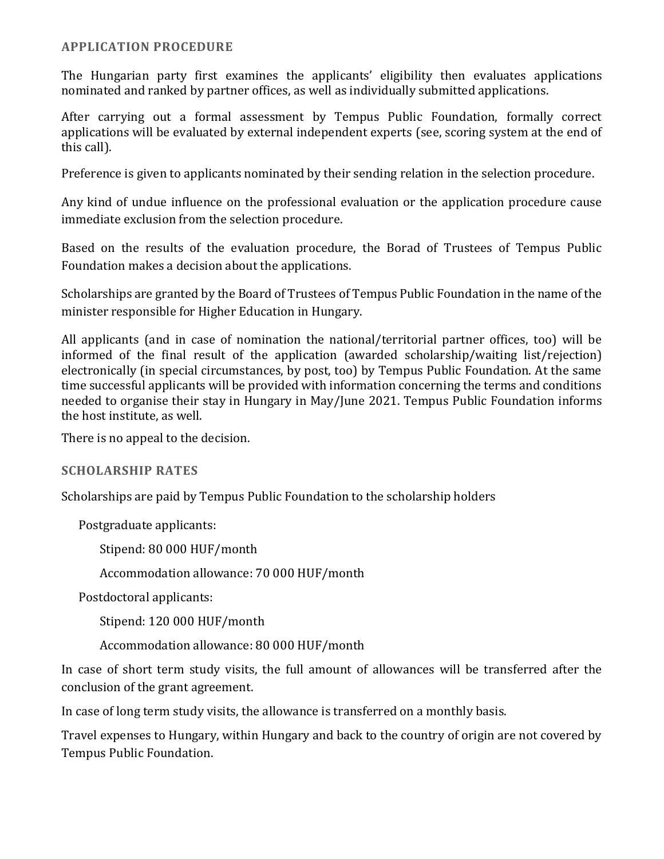#### **APPLICATION PROCEDURE**

The Hungarian party first examines the applicants' eligibility then evaluates applications nominated and ranked by partner offices, as well as individually submitted applications.

After carrying out a formal assessment by Tempus Public Foundation, formally correct applications will be evaluated by external independent experts (see, scoring system at the end of this call).

Preference is given to applicants nominated by their sending relation in the selection procedure.

Any kind of undue influence on the professional evaluation or the application procedure cause immediate exclusion from the selection procedure.

Based on the results of the evaluation procedure, the Borad of Trustees of Tempus Public Foundation makes a decision about the applications.

Scholarships are granted by the Board of Trustees of Tempus Public Foundation in the name of the minister responsible for Higher Education in Hungary.

All applicants (and in case of nomination the national/territorial partner offices, too) will be informed of the final result of the application (awarded scholarship/waiting list/rejection) electronically (in special circumstances, by post, too) by Tempus Public Foundation. At the same time successful applicants will be provided with information concerning the terms and conditions needed to organise their stay in Hungary in May/June 2021. Tempus Public Foundation informs the host institute, as well.

There is no appeal to the decision.

#### **SCHOLARSHIP RATES**

Scholarships are paid by Tempus Public Foundation to the scholarship holders

Postgraduate applicants:

Stipend: 80 000 HUF/month

Accommodation allowance: 70 000 HUF/month

Postdoctoral applicants:

Stipend: 120 000 HUF/month

Accommodation allowance: 80 000 HUF/month

In case of short term study visits, the full amount of allowances will be transferred after the conclusion of the grant agreement.

In case of long term study visits, the allowance is transferred on a monthly basis.

Travel expenses to Hungary, within Hungary and back to the country of origin are not covered by Tempus Public Foundation.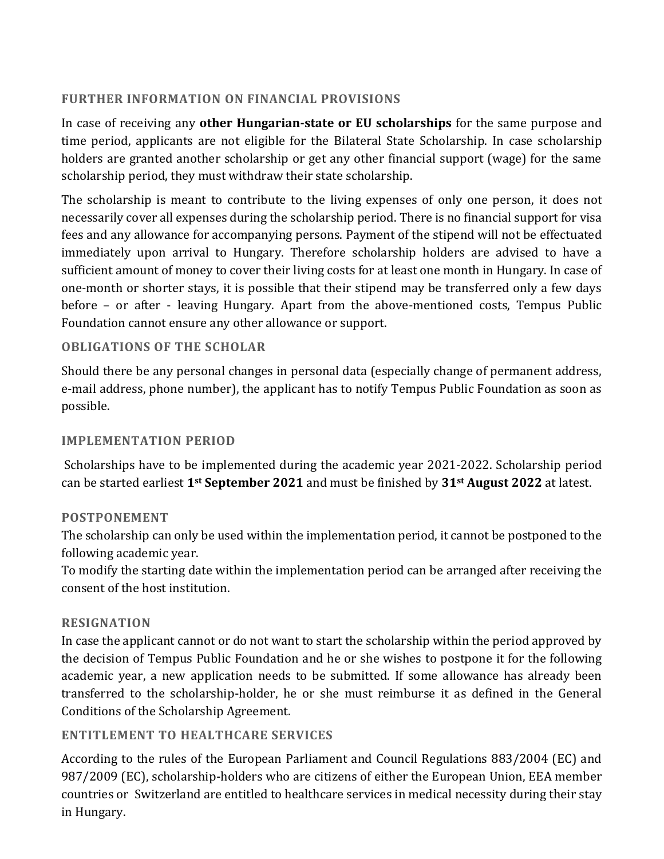# **FURTHER INFORMATION ON FINANCIAL PROVISIONS**

In case of receiving any **other Hungarian-state or EU scholarships** for the same purpose and time period, applicants are not eligible for the Bilateral State Scholarship. In case scholarship holders are granted another scholarship or get any other financial support (wage) for the same scholarship period, they must withdraw their state scholarship.

The scholarship is meant to contribute to the living expenses of only one person, it does not necessarily cover all expenses during the scholarship period. There is no financial support for visa fees and any allowance for accompanying persons. Payment of the stipend will not be effectuated immediately upon arrival to Hungary. Therefore scholarship holders are advised to have a sufficient amount of money to cover their living costs for at least one month in Hungary. In case of one-month or shorter stays, it is possible that their stipend may be transferred only a few days before – or after - leaving Hungary. Apart from the above-mentioned costs, Tempus Public Foundation cannot ensure any other allowance or support.

# **OBLIGATIONS OF THE SCHOLAR**

Should there be any personal changes in personal data (especially change of permanent address, e-mail address, phone number), the applicant has to notify Tempus Public Foundation as soon as possible.

#### **IMPLEMENTATION PERIOD**

Scholarships have to be implemented during the academic year 2021-2022. Scholarship period can be started earliest **1st September 2021** and must be finished by **31st August 2022** at latest.

#### **POSTPONEMENT**

The scholarship can only be used within the implementation period, it cannot be postponed to the following academic year.

To modify the starting date within the implementation period can be arranged after receiving the consent of the host institution.

#### **RESIGNATION**

In case the applicant cannot or do not want to start the scholarship within the period approved by the decision of Tempus Public Foundation and he or she wishes to postpone it for the following academic year, a new application needs to be submitted. If some allowance has already been transferred to the scholarship-holder, he or she must reimburse it as defined in the General Conditions of the Scholarship Agreement.

# **ENTITLEMENT TO HEALTHCARE SERVICES**

According to the rules of the European Parliament and Council Regulations 883/2004 (EC) and 987/2009 (EC), scholarship-holders who are citizens of either the European Union, EEA member countries or Switzerland are entitled to healthcare services in medical necessity during their stay in Hungary.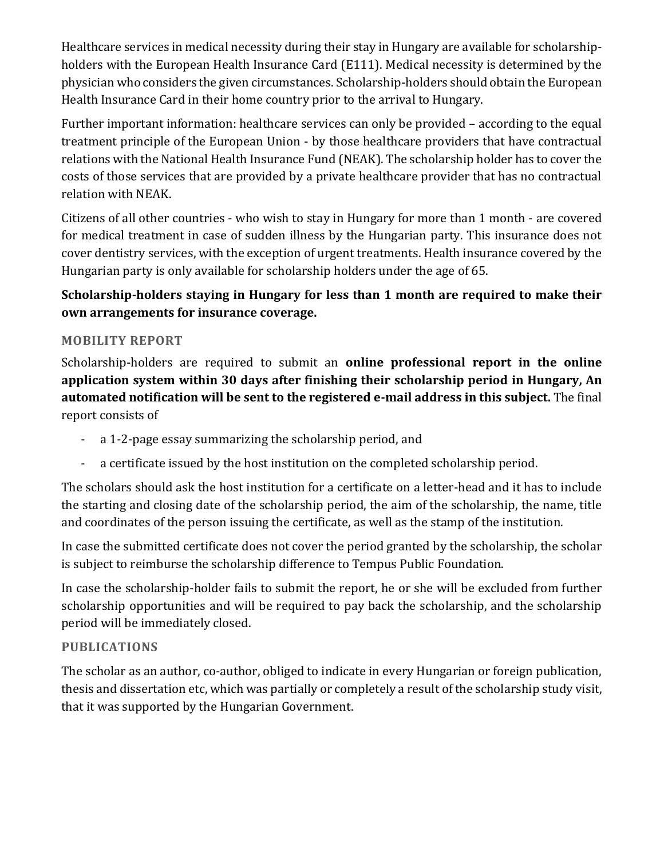Healthcare services in medical necessity during their stay in Hungary are available for scholarshipholders with the European Health Insurance Card (E111). Medical necessity is determined by the physician who considers the given circumstances. Scholarship-holders should obtain the European Health Insurance Card in their home country prior to the arrival to Hungary.

Further important information: healthcare services can only be provided – according to the equal treatment principle of the European Union - by those healthcare providers that have contractual relations with the National Health Insurance Fund (NEAK). The scholarship holder has to cover the costs of those services that are provided by a private healthcare provider that has no contractual relation with NEAK.

Citizens of all other countries - who wish to stay in Hungary for more than 1 month - are covered for medical treatment in case of sudden illness by the Hungarian party. This insurance does not cover dentistry services, with the exception of urgent treatments. Health insurance covered by the Hungarian party is only available for scholarship holders under the age of 65.

# **Scholarship-holders staying in Hungary for less than 1 month are required to make their own arrangements for insurance coverage.**

# **MOBILITY REPORT**

Scholarship-holders are required to submit an **online professional report in the online application system within 30 days after finishing their scholarship period in Hungary, An automated notification will be sent to the registered e-mail address in this subject.** The final report consists of

- a 1-2-page essay summarizing the scholarship period, and
- a certificate issued by the host institution on the completed scholarship period.

The scholars should ask the host institution for a certificate on a letter-head and it has to include the starting and closing date of the scholarship period, the aim of the scholarship, the name, title and coordinates of the person issuing the certificate, as well as the stamp of the institution.

In case the submitted certificate does not cover the period granted by the scholarship, the scholar is subject to reimburse the scholarship difference to Tempus Public Foundation.

In case the scholarship-holder fails to submit the report, he or she will be excluded from further scholarship opportunities and will be required to pay back the scholarship, and the scholarship period will be immediately closed.

# **PUBLICATIONS**

The scholar as an author, co-author, obliged to indicate in every Hungarian or foreign publication, thesis and dissertation etc, which was partially or completely a result of the scholarship study visit, that it was supported by the Hungarian Government.